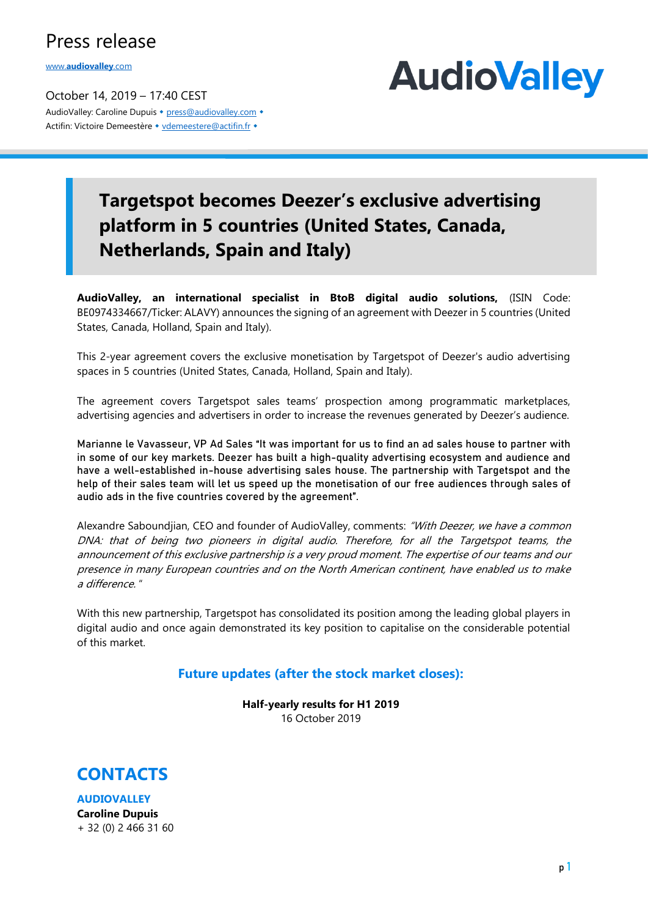### Press release

www.**[audiovalley](http://www.audiovalley.com/)**.com

October 14, 2019 – 17:40 CEST AudioValley: Caroline Dupuis • [press@audiovalley.com](mailto:press@audiovalley.com) • Actifin: Victoire Demeestère • [vdemeestere@actifin.fr](mailto:vdemeestere@actifin.fr?subject=AUDIOVALLEY%20Question) •



# **Targetspot becomes Deezer's exclusive advertising platform in 5 countries (United States, Canada, Netherlands, Spain and Italy)**

**AudioValley, an international specialist in BtoB digital audio solutions,** (ISIN Code: BE0974334667/Ticker: ALAVY) announces the signing of an agreement with Deezer in 5 countries (United States, Canada, Holland, Spain and Italy).

This 2-year agreement covers the exclusive monetisation by Targetspot of Deezer's audio advertising spaces in 5 countries (United States, Canada, Holland, Spain and Italy).

The agreement covers Targetspot sales teams' prospection among programmatic marketplaces, advertising agencies and advertisers in order to increase the revenues generated by Deezer's audience.

Marianne le Vavasseur, VP Ad Sales "It was important for us to find an ad sales house to partner with in some of our key markets. Deezer has built a high-quality advertising ecosystem and audience and have a well-established in-house advertising sales house. The partnership with Targetspot and the help of their sales team will let us speed up the monetisation of our free audiences through sales of audio ads in the five countries covered by the agreement".

Alexandre Saboundjian, CEO and founder of AudioValley, comments: "With Deezer, we have a common DNA: that of being two pioneers in digital audio. Therefore, for all the Targetspot teams, the announcement of this exclusive partnership is a very proud moment. The expertise of our teams and our presence in many European countries and on the North American continent, have enabled us to make a difference. "

With this new partnership, Targetspot has consolidated its position among the leading global players in digital audio and once again demonstrated its key position to capitalise on the considerable potential of this market.

#### **Future updates (after the stock market closes):**

**Half-yearly results for H1 2019** 16 October 2019



**AUDIOVALLEY Caroline Dupuis** + 32 (0) 2 466 31 60